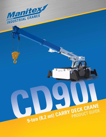

**Inches** 

# 9-ton (8.2 mt) CARRY DECK CRANE

**DE** 

CD90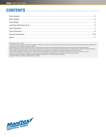# **CONTENTS //////////////////////////////////////////////////////////////////////////////**

Effective Date: February 10, 2014

This document is non-contractual. This document is supplied for reference use only. We are constantly making improvements to our products and reserve the right that specification, equipment, and prices are all subject to change without notice or obligation.

The photographs, and /or images in this document are for illustrative purposes only and may include optional equipment and accessories and may not include all standard equipment.

Refer to the appropriate Operator's Manual and Load Charts for instructions on the proper use of this equipment to determine allowable crane lifting capacities, assembly and operating procedures. Failure to follow the appropriate operator's manual or load chart(s) when using our equipment or to otherwise act irresponsibly may result in serious injury or death.

The only warranty applicable to our equipment is the standard written warranty applicable to the particular product and sale. Manitex makes no other warranty, expressed or implied. Products and services listed may be trademarks, service marks or trade-names of Manitex International and /or its subsidiaries in the USA and other countries.

All rights are reserved. Manitex® is a registered trademark of Manitex International, Inc. in the USA and many other countries.

Copyright 2014 Manitex Inc. Manitex Inc, Georgetown Texas, 78626

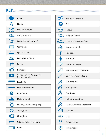**KEY ///////////////////////////////////////////////////////////////////////////////////////////**

|                 | Engine                                                   |
|-----------------|----------------------------------------------------------|
| $\bm{F}$        | Steering                                                 |
|                 | Gross vehicle weight                                     |
|                 | Weight on rear axle                                      |
|                 | Standard (without hook block)                            |
|                 | Operator aids                                            |
|                 | Operator's station                                       |
|                 | Heating / Air conditioning                               |
|                 | Controls                                                 |
|                 | Hoist speed                                              |
|                 | 1 - Main hoist 2 - Auxiliary winch<br>3 - Recovery winch |
| $\overline{HH}$ | Rope length                                              |
| 777777          | Rope - standard/optional                                 |
|                 | Rope diameter                                            |
| $\frac{0}{LB}$  | Maximum line pull                                        |
|                 | Slewing / Allowable slewing range                        |
|                 | Slewing gears                                            |
|                 | Slewing brake                                            |
|                 | Outriggers / Lifting on outriggers                       |
|                 | Frame                                                    |

|     | Mechanical transmission            |
|-----|------------------------------------|
|     | <b>Tires</b>                       |
| HYD | <b>Hydraulics</b>                  |
|     | Weight on front axle               |
|     | Lifting on wheels / Pick & Carry   |
|     | Maximum gradeability               |
|     | Hook block                         |
|     | Hook and ball                      |
|     | Boom elevation angle               |
|     | Max. boom length with extension    |
|     | Boom with extension retracted      |
|     | Telescoping mode                   |
|     | Working radius                     |
|     | Boom length                        |
|     | Hydraulic actuated boom            |
|     | Full power mechanical synchronized |
|     | Tip height                         |
|     | Lights                             |
|     | Electrical system                  |
|     | Maximum speed                      |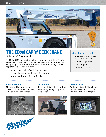

# **THE CD90i CARRY DECK CRANE**

#### Tight space? No problem!

The Manitex CD90i is our new industrial crane designed to lift loads that can't easily be reached by a traditional crane or forklift. The 9-ton, cab-down crane maneuvers smoothly through cramped machine shops or shipyards and, with its unique outrigger system, can be positioned close to the load. It offers:

- Multiple steering modes (2 Wheel, Crab, Coordinated)
- Powershift transmission with 4 forward 3 reverse speeds
- Maximum travel speed of 17.9 mph (28.8 kph)

#### Other features include:

- Rated capacity: 9-ton (8,2 mt) at 5 ft. (1,5 m) working radius
- Max. boom length: 25.4 ft. (7,7 m)
- Max. tip height:  $33$  ft. (10,1 m)
- Load Indicator System

#### **///////////////////////////////////////////////////////////////////////////////////////////////////**

#### **CAB/CONTROLS OUTRIGGERS**

Minimize risk. Direct acting hydraulic controls are standard so there's no risk of high-pressure hose leaks in the cab.





Lift confidently. Out-and-down outriggers extend adding stability, letting you inch closer to the load.



#### **OPERATOR AIDS**

Work smarter. Greer's Insight LMI system allows the operator quick access to critical data in high-resolution VGA graphics.

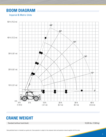# **BOOM DIAGRAM //////////////////////////////////////////////////////////////////**

#### Imperial & Metric Units



**///////////////////////////////////////////////////////////////////////////////////////////////////**

# **CRANE WEIGHT**

Standard (without hook block): 16,535 lbs. (7,500 kg)

Data published herein is intended as a guide only. Crane operation is subject to the computer charts and operation manual supplied with the crane.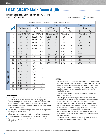# **LOAD CHART: Main Boom & Jib //////////////////////////////////////////**

Lifting Capacities 3 Section Boom 11.6 ft. - 25.4 ft. 9.9 ft. (3 m) Fixed Jib

┡═ 1 11.3 ft.  $(3,5 \text{ m})$  (100%)  $\rightarrow$  360° Continuous



|           | CAPACITIES APPLY TO OPERATION ON FIRM LEVEL SURFACES |                  |      |                                      |                  |                  |      |                      |                     |        |      |
|-----------|------------------------------------------------------|------------------|------|--------------------------------------|------------------|------------------|------|----------------------|---------------------|--------|------|
|           |                                                      | On Outriggers    |      |                                      | On Rubber Static |                  |      |                      | On Rubber - 2.5 mph |        |      |
|           |                                                      | 360° Rotation    |      | 40° Front                            |                  | 360° Rotation    |      | 6 <sup>°</sup> Front |                     | Front  |      |
|           |                                                      | Lbs.             | Tons | Lbs.                                 | Tons             | Lbs.             | Tons | Lbs.                 | Tons                | Lbs.   | Tons |
| MAIN BOOM | ft.                                                  | Max. 69° Min 12° |      | Max. 69° Min 12°<br>Max. 69° Min 12° |                  | Max. 69° Min 12° |      | Max. 69° Min 12°     |                     |        |      |
|           | 5                                                    | 18,000           | 9.0  | 18,000                               | 9.0              | 10,271           | 5.1  | 17,894               | 8.9                 | 16,835 | 8.4  |
|           | 6                                                    | 17,153           | 8.6  | 17,153                               | 8.6              | 8,894            | 4.4  | 15,565               | 7.8                 | 14,612 | 7.3  |
|           | 8                                                    | 14,082           | 7.0  | 14,082                               | 7.0              | 5,824            | 2.9  | 11,965               | 6.0                 | 11,329 | 5.7  |
|           | 10                                                   | 11,753           | 5.9  | 11,859                               | 5.9              | 3,918            | 2.0  | 8,788                | 4.4                 | 8,788  | 4.4  |
|           | 12                                                   | 9,529            | 4.8  | 10,376                               | 5.2              | 2,859            | 1.4  | 6,247                | 3.1                 | 6,247  | 3.1  |
|           | 14                                                   | 7,094            | 3.5  | 9,212                                | 4.6              | 2,118            | 1.1  | 4,765                | 2.4                 | 4,765  | 2.4  |
|           | 16                                                   | 5,718            | 2.9  | 8,153                                | 4.1              | 1,694            | 0.8  | 3,706                | 1.9                 | 3,706  | 1.9  |
|           | 18                                                   | 4,765            | 2.4  | 6,776                                | 3.4              | 1,376            | 0.7  | 2,965                | 1.5                 | 2,965  | 1.5  |
|           | 20                                                   | 3,918            | 2.0  | 5,506                                | 2.8              | 1,059            | 0.5  | 2,329                | 1.2                 | 2,329  | 1.2  |
|           | 22                                                   | 3,388            | 1.7  | 4,659                                | 2.3              | 847              | 0.4  | 2,012                | 1.0                 | 2,012  | 1.0  |
|           | 16                                                   | 5,824            | 2.9  | 6,500                                | 3.3              |                  |      |                      |                     |        |      |
|           | 18                                                   | 4,871            | 2.4  | 5,800                                | 2.9              |                  |      |                      |                     |        |      |

#### **ON OUTRIGGERS**

MAIN BOOM + JIB

**MAIN BOOM + JIB** 

• The tabulated loads are the maximum loads covered by the manufacturer's guarantees. The rated loads never exceed 85% of the tipping load. They are given in pounds and include the weight of hook blocks and other hoisting equipment. Their weight must be subtracted from the listed rated lifting capacity to obtain the net load that can be lifted (Also see page 7 for rated load deductions).

20 4,024 2.0 5,100 2.6 22 3,388 1.7 4,500 2.3 24 2,965 1.5 3,900 2.0 26 2.541 1.3 3.300 1.7 28 2.224 1.1 2,900 1.5 30 1,906 1.0 2,500 1.3 32 1,694 0.8 2,300 1.2

- The tires shall be raised clear of the ground and free of crane weight before operating boom or lifting loads.
- All outrigger beams must be extended to the same length; fully extended.
- The crane should be raised and positioned horizontally on outriggers.
- Operating at outrigger positions other than the above is neither intended nor approved.

#### **ON TIRES**

- The tabulated loads are the maximum loads covered by the manufacturer's guarantees. The rated loads never exceed 75% of the tipping load. They are given in pounds and include the weight of hook blocks and other hoisting equipment. Their weight must be subtracted from the listed rated lifting capacity to obtain the net load that can be lifted (also see page 7 for rated load deductions).
- Crane lifting capacities require lifting from main boom head only on a smooth and level surface.
- Crane lifting capacities on tires depend on tire capacity, condition of the tires and tire air pressure. Tires must be inflated to the recommended pressure before lifting (see operator's manual). The recommended pressures are indicated either in the cab or next to the wheels. When handling loads in the structural range with capacities close to maximum ratings, travel should be limited to "creep speed." 2.5 mph capacities are permissible on main boom only, NOT on boom extension.
- For pick and carry operations, the boom must be centered over the front of the machine, the mechanical swing lock engaged and the load must be restrained from swing.
- Do not travel with boom extension erected. Creep: motion less than 200 feet in a 30 minute period and not exceeding 1 mph.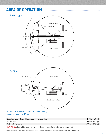## **AREA OF OPERATION/////////////////////////////////////////////////////////////**



#### Deductions from rated loads for load handling devices supplied by Manitex

| Downhaul weight & swivel hook (use with single part line) | 110 lbs. (49.9 kg)  |
|-----------------------------------------------------------|---------------------|
| Sheave block                                              | 145 lbs. (65.7 kg)  |
| 9.85 ft. (3 m) extension                                  | 432 lbs. (195.9 kg) |
|                                                           |                     |

WARNING: Lifting off the main boom point while the jib is erected is not intended or approved.

Data published herein is intended as a guide only. Crane operation is subject to the computer charts and operation manual supplied with the crane.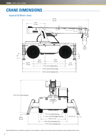# **CRANE DIMENSIONS ////////////////////////////////////////////////////////////**

#### Imperial & Metric Units



Data published herein is intended as a guide only. Crane operation is subject to the computer charts and operation manual supplied with the crane.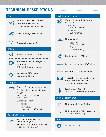# **TECHNICAL DESCRIPTIONS //////////////////////////////////////////////////**

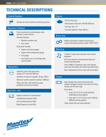# **TECHNICAL DESCRIPTIONS ////////////////////////////////////////////////**

#### Control System



Includes all crane functions and driving controls

#### Operator's Station



Frame mounted non-vibrating open style operator's control station

Standard features:

- Weather resistant seat
- Hour meter

Dash panel includes:

- Engine oil pressure gauge
- Engine water temperature gauge
- Fuel gauge
- Low battery, low oil, and high temp. warning lights

#### **Hydraulics**

**HYDR** 



Hydraulic oil reservoir capacity: 50 gal. (189 L)

Maximum system operation pressure: 2000 psi

Return line filter with full flow by-pass protection and service indicator

#### Operator aids



Graphic interface for load indicator Load Moment Indicator (LMI) Anti-Two Block Device (ATB) Rated Capacity Limiter (RCL)

#### Engine



PSI 2.4L Dual Fuel Rated power: 60 hp (44.7 kW) @ 2300 rpm Fuel type: Gas / LP Fuel tank capacity: 16 gal. (60.6 L)

#### Drive-line



DANA syncromesh 4-speeds forward and 3 reverse with electrical steer model 1102FT12410

#### **Steering**



2-wheel, 4-wheel and crab steer with manual alignment

4x2-Front axle drive with planetary hubs and limited slip differential

Front: DANA 212 planetary steer with internal multi-wet-disc brakes and limited slip differential

Rear: Fabricated non-drive steer with disc brakes

#### Frame



High strength alloy steel constructed with integral outrigger housings: front and rear lifting, towing, and tie-down lugs.

Carry decks:

- Front:  $23.2$  ft<sup>2</sup> (2.15 m) with 6,620 lbs. (3,003 kg) carrying capacity
- Side right:  $21.8 \text{ ft}^2 (2.03 \text{ m})$  with 2,200 lbs. (998 kg) carrying capacity

Deck coated with anti-skid treatment.

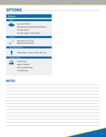# **OPTIONS /////////////////////////////////////////////////////////////////////////////////**

| Options                     |                                                                                                                                      |
|-----------------------------|--------------------------------------------------------------------------------------------------------------------------------------|
| <b>Engine</b>               |                                                                                                                                      |
|                             | Cummins <sup>®</sup> QSF 2.8<br>Rated power: 65 hp (48.5 kW) @ 2300 rpm<br>Fuel type: Diesel<br>Fuel tank capacity: 16 gal. (60.6 L) |
| <b>Extension</b>            |                                                                                                                                      |
|                             | 4th-section: 9.9 ft. (3 m)<br>Manual section fixed pin                                                                               |
| <b>Hoist, Rope and Hook</b> |                                                                                                                                      |
|                             | Sheave block: 1-sheave: 145 lbs. (65.7 kg)                                                                                           |
| <b>Operator's Station</b>   |                                                                                                                                      |
|                             | <b>Fnclosed cab</b><br>Heater / Defroster<br>Front windshield wiper<br>Air conditioning                                              |

### **NOTES:**